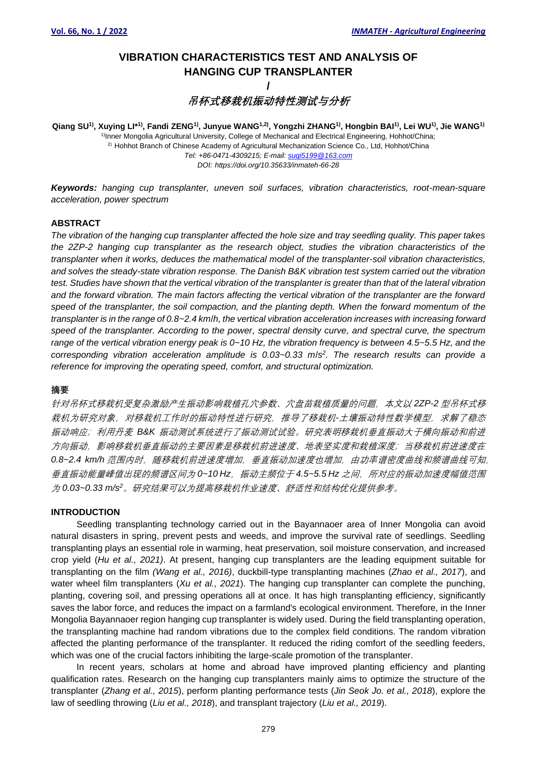# **VIBRATION CHARACTERISTICS TEST AND ANALYSIS OF HANGING CUP TRANSPLANTER**

**/**

# **吊杯式移栽机振动特性测试与分析**

Qiang SU<sup>1)</sup>, Xuying Ll\*<sup>1)</sup>, Fandi ZENG<sup>1)</sup>, Junyue WANG<sup>1,2)</sup>, Yongzhi ZHANG<sup>1)</sup>, Hongbin BAI<sup>1)</sup>, Lei WU<sup>1)</sup>, Jie WANG<sup>1)</sup> <sup>1</sup>Inner Mongolia Agricultural University, College of Mechanical and Electrical Engineering, Hohhot/China; 2) Hohhot Branch of Chinese Academy of Agricultural Mechanization Science Co., Ltd, Hohhot/China *Tel: +86-0471-4309215; E-mail: [suqi5199@163.com](mailto:suqi5199@163.com) DOI: https://doi.org/10.35633/inmateh-66-28*

*Keywords: hanging cup transplanter, uneven soil surfaces, vibration characteristics, root-mean-square acceleration, power spectrum*

# **ABSTRACT**

*The vibration of the hanging cup transplanter affected the hole size and tray seedling quality. This paper takes the 2ZP-2 hanging cup transplanter as the research object, studies the vibration characteristics of the transplanter when it works, deduces the mathematical model of the transplanter*-*soil vibration characteristics, and solves the steady-state vibration response. The Danish B&K vibration test system carried out the vibration test. Studies have shown that the vertical vibration of the transplanter is greater than that of the lateral vibration and the forward vibration. The main factors affecting the vertical vibration of the transplanter are the forward speed of the transplanter, the soil compaction, and the planting depth. When the forward momentum of the transplanter is in the range of 0.8~2.4 km*/*h, the vertical vibration acceleration increases with increasing forward speed of the transplanter. According to the power, spectral density curve, and spectral curve, the spectrum range of the vertical vibration energy peak is 0~10 Hz, the vibration frequency is between 4.5~5.5 Hz, and the corresponding vibration acceleration amplitude is 0.03~0.33 m*/*s 2 . The research results can provide a reference for improving the operating speed, comfort, and structural optimization.*

# **摘要**

针对吊杯式移栽机受复杂激励产生振动影响栽植孔穴参数、穴盘苗栽植质量的问题,本文以 *2ZP-2* 型吊杯式移 栽机为研究对象,对移栽机工作时的振动特性进行研究,推导了移栽机*-*土壤振动特性数学模型,求解了稳态 振动响应;利用丹麦 *B&K* 振动测试系统进行了振动测试试验。研究表明移栽机垂直振动大于横向振动和前进 方向振动,影响移栽机垂直振动的主要因素是移栽机前进速度、地表坚实度和栽植深度;当移栽机前进速度在 0.8~2.4 km/h 范围内时, 随移栽机前进速度增加, 垂直振动加速度也增加, 由功率谱密度曲线和频谱曲线可知, 垂直振动能量峰值出现的频谱区间为 0~10 Hz, 振动主频位于 4.5~5.5 Hz 之间, 所对应的振动加速度幅值范围 为 *0.03~0.33 m/s<sup>2</sup>*。研究结果可以为提高移栽机作业速度、舒适性和结构优化提供参考。

# **INTRODUCTION**

Seedling transplanting technology carried out in the Bayannaoer area of Inner Mongolia can avoid natural disasters in spring, prevent pests and weeds, and improve the survival rate of seedlings. Seedling transplanting plays an essential role in warming, heat preservation, soil moisture conservation, and increased crop yield (*Hu et al., 2021)*. At present, hanging cup transplanters are the leading equipment suitable for transplanting on the film *(Wang et al., 2016)*, duckbill-type transplanting machines (*Zhao et al., 2017*), and water wheel film transplanters (*Xu et al., 2021*). The hanging cup transplanter can complete the punching, planting, covering soil, and pressing operations all at once. It has high transplanting efficiency, significantly saves the labor force, and reduces the impact on a farmland's ecological environment. Therefore, in the Inner Mongolia Bayannaoer region hanging cup transplanter is widely used. During the field transplanting operation, the transplanting machine had random vibrations due to the complex field conditions. The random vibration affected the planting performance of the transplanter. It reduced the riding comfort of the seedling feeders, which was one of the crucial factors inhibiting the large-scale promotion of the transplanter.

In recent years, scholars at home and abroad have improved planting efficiency and planting qualification rates. Research on the hanging cup transplanters mainly aims to optimize the structure of the transplanter (*Zhang et al., 2015*), perform planting performance test*s* (*Jin Seok Jo. et al., 2018*), explore the law of seedling throwing (*Liu et al., 2018*), and transplant trajectory (*Liu et al., 2019*).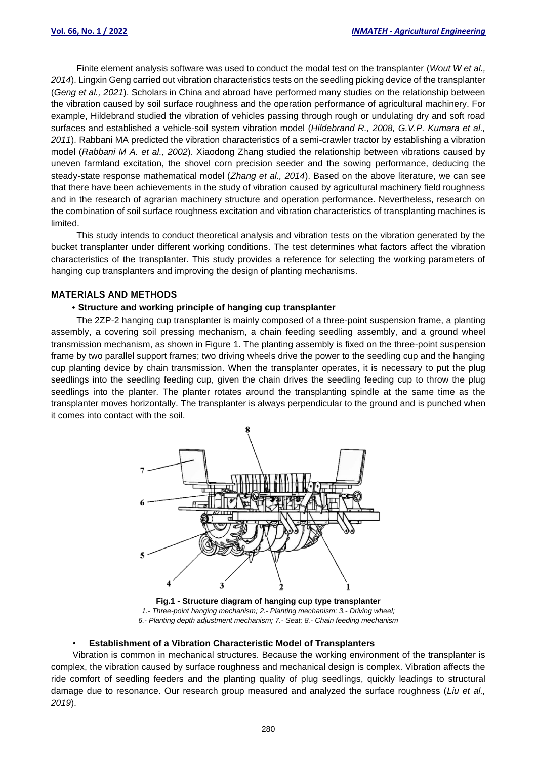Finite element analysis software was used to conduct the modal test on the transplanter (*Wout W et al., 2014*). Lingxin Geng carried out vibration characteristics tests on the seedling picking device of the transplanter (*Geng et al., 2021*). Scholars in China and abroad have performed many studies on the relationship between the vibration caused by soil surface roughness and the operation performance of agricultural machinery. For example, Hildebrand studied the vibration of vehicles passing through rough or undulating dry and soft road surfaces and established a vehicle-soil system vibration model (*Hildebrand R., 2008, G.V.P. Kumara et al., 2011*). Rabbani MA predicted the vibration characteristics of a semi-crawler tractor by establishing a vibration model (*Rabbani M A. et al., 2002*). Xiaodong Zhang studied the relationship between vibrations caused by uneven farmland excitation, the shovel corn precision seeder and the sowing performance, deducing the steady-state response mathematical model (*Zhang et al., 2014*). Based on the above literature, we can see that there have been achievements in the study of vibration caused by agricultural machinery field roughness and in the research of agrarian machinery structure and operation performance. Nevertheless, research on the combination of soil surface roughness excitation and vibration characteristics of transplanting machines is limited.

This study intends to conduct theoretical analysis and vibration tests on the vibration generated by the bucket transplanter under different working conditions. The test determines what factors affect the vibration characteristics of the transplanter. This study provides a reference for selecting the working parameters of hanging cup transplanters and improving the design of planting mechanisms.

# **MATERIALS AND METHODS**

#### ·**Structure and working principle of hanging cup transplanter**

The 2ZP-2 hanging cup transplanter is mainly composed of a three-point suspension frame, a planting assembly, a covering soil pressing mechanism, a chain feeding seedling assembly, and a ground wheel transmission mechanism, as shown in Figure 1. The planting assembly is fixed on the three-point suspension frame by two parallel support frames; two driving wheels drive the power to the seedling cup and the hanging cup planting device by chain transmission. When the transplanter operates, it is necessary to put the plug seedlings into the seedling feeding cup, given the chain drives the seedling feeding cup to throw the plug seedlings into the planter. The planter rotates around the transplanting spindle at the same time as the transplanter moves horizontally. The transplanter is always perpendicular to the ground and is punched when it comes into contact with the soil.



**Fig.1 - Structure diagram of hanging cup type transplanter** *1.*- *Three-point hanging mechanism; 2.*- *Planting mechanism; 3.*- *Driving wheel; 6.*- *Planting depth adjustment mechanism; 7.*- *Seat; 8.*- *Chain feeding mechanism*

#### • **Establishment of a Vibration Characteristic Model of Transplanters**

Vibration is common in mechanical structures. Because the working environment of the transplanter is complex, the vibration caused by surface roughness and mechanical design is complex. Vibration affects the ride comfort of seedling feeders and the planting quality of plug seedlings, quickly leadings to structural damage due to resonance. Our research group measured and analyzed the surface roughness (*Liu et al., 2019*).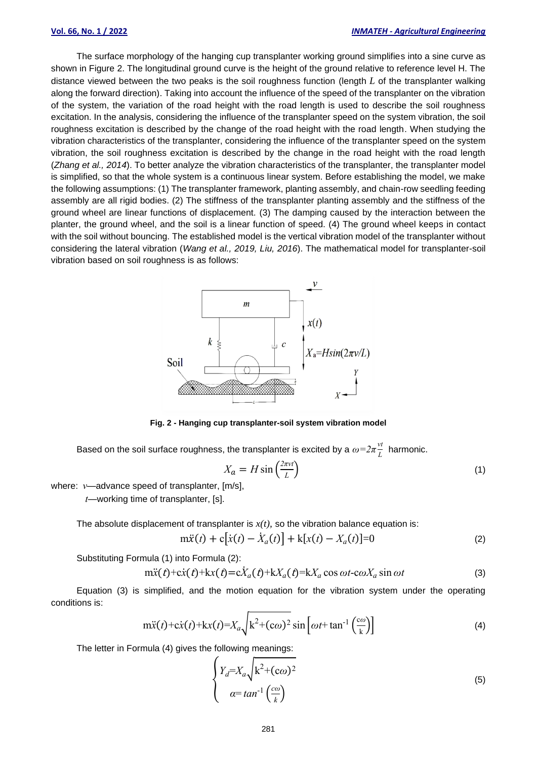The surface morphology of the hanging cup transplanter working ground simplifies into a sine curve as shown in Figure 2. The longitudinal ground curve is the height of the ground relative to reference level H. The distance viewed between the two peaks is the soil roughness function (length *L* of the transplanter walking along the forward direction). Taking into account the influence of the speed of the transplanter on the vibration of the system, the variation of the road height with the road length is used to describe the soil roughness excitation. In the analysis, considering the influence of the transplanter speed on the system vibration, the soil roughness excitation is described by the change of the road height with the road length. When studying the vibration characteristics of the transplanter, considering the influence of the transplanter speed on the system vibration, the soil roughness excitation is described by the change in the road height with the road length (*Zhang et al., 2014*). To better analyze the vibration characteristics of the transplanter, the transplanter model is simplified, so that the whole system is a continuous linear system. Before establishing the model, we make the following assumptions: (1) The transplanter framework, planting assembly, and chain-row seedling feeding assembly are all rigid bodies. (2) The stiffness of the transplanter planting assembly and the stiffness of the ground wheel are linear functions of displacement. (3) The damping caused by the interaction between the planter, the ground wheel, and the soil is a linear function of speed. (4) The ground wheel keeps in contact with the soil without bouncing. The established model is the vertical vibration model of the transplanter without considering the lateral vibration (*Wang et al., 2019, Liu, 2016*). The mathematical model for transplanter-soil vibration based on soil roughness is as follows:



**Fig. 2 - Hanging cup transplanter-soil system vibration model**

Based on the soil surface roughness, the transplanter is excited by a  $\omega {=} 2\pi \frac{v t}{L}$  harmonic.

$$
X_a = H \sin\left(\frac{2\pi vt}{L}\right) \tag{1}
$$

where: *v*—advance speed of transplanter, [m/s],

*t*—working time of transplanter, [s].

The absolute displacement of transplanter is  $x(t)$ , so the vibration balance equation is:

 $m\ddot{x}(t) + c[\dot{x}(t) - \dot{X}_a(t)] + k[x(t) - X_a(t)] = 0$  (2)

Substituting Formula (1) into Formula (2):

$$
m\ddot{x}(t) + c\dot{x}(t) + kx(t) = c\dot{X}_a(t) + kX_a(t) = kX_a \cos \omega t - c\omega X_a \sin \omega t
$$
\n(3)

Equation (3) is simplified, and the motion equation for the vibration system under the operating conditions is:

$$
\text{m}\ddot{x}(t) + \text{c}\dot{x}(t) + \text{k}x(t) = X_a \sqrt{k^2 + (\text{c}\omega)^2} \sin\left[\omega t + \tan^{-1}\left(\frac{\text{c}\omega}{k}\right)\right]
$$
 (4)

The letter in Formula (4) gives the following meanings:

$$
\begin{cases}\nY_d = X_a \sqrt{k^2 + (c\omega)^2} \\
\alpha = \tan^{-1}\left(\frac{c\omega}{k}\right)\n\end{cases}
$$
\n(5)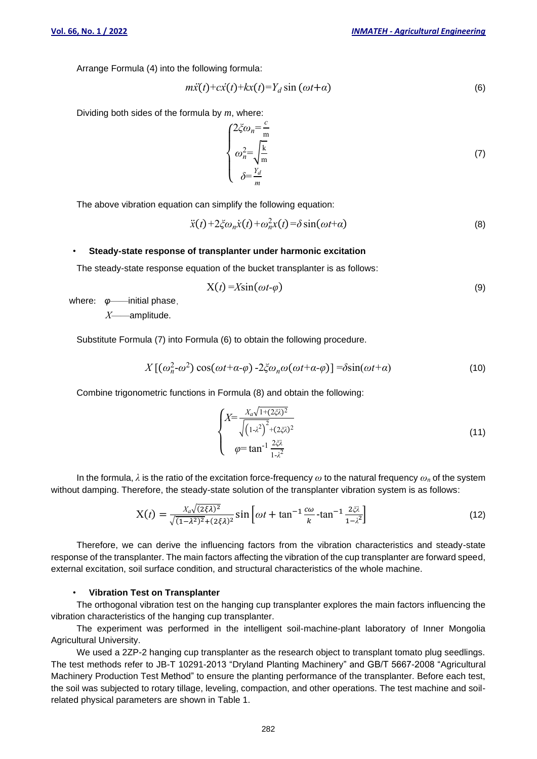Arrange Formula (4) into the following formula:

$$
m\ddot{x}(t) + c\dot{x}(t) + kx(t) = Y_d \sin(\omega t + a)
$$
\n(6)

Dividing both sides of the formula by *m*, where:

$$
\begin{cases}\n2\xi\omega_n = \frac{c}{m} \\
\omega_n^2 = \sqrt{\frac{k}{m}} \\
\delta = \frac{Y_d}{m}\n\end{cases}
$$
\n(7)

The above vibration equation can simplify the following equation:

$$
\ddot{x}(t) + 2\xi\omega_n \dot{x}(t) + \omega_n^2 x(t) = \delta \sin(\omega t + \alpha)
$$
\n(8)

### • **Steady-state response of transplanter under harmonic excitation**

The steady-state response equation of the bucket transplanter is as follows:

$$
X(t) = X\sin(\omega t - \varphi) \tag{9}
$$

where: *φ*——initial phase,

*X*——amplitude.

Substitute Formula (7) into Formula (6) to obtain the following procedure.

$$
X\left[\left(\omega_n^2-\omega^2\right)\cos(\omega t+\alpha-\varphi)\right]-2\xi\omega_n\omega(\omega t+\alpha-\varphi)\right]=\delta\sin(\omega t+\alpha)\tag{10}
$$

Combine trigonometric functions in Formula (8) and obtain the following:

$$
\begin{cases}\nX = \frac{X_a \sqrt{1 + (2\xi \lambda)^2}}{\sqrt{(1 - \lambda^2)^2 + (2\xi \lambda)^2}} \\
\varphi = \tan^{-1} \frac{2\xi \lambda}{1 - \lambda^2}\n\end{cases}
$$
\n(11)

In the formula, *λ* is the ratio of the excitation force-frequency *ω* to the natural frequency *ω<sup>n</sup>* of the system without damping. Therefore, the steady-state solution of the transplanter vibration system is as follows:

$$
X(t) = \frac{X_a \sqrt{(2\xi\lambda)^2}}{\sqrt{(1-\lambda^2)^2} + (2\xi\lambda)^2} \sin\left[\omega t + \tan^{-1}\frac{c\omega}{k} - \tan^{-1}\frac{2\xi\lambda}{1-\lambda^2}\right]
$$
(12)

Therefore, we can derive the influencing factors from the vibration characteristics and steady-state response of the transplanter. The main factors affecting the vibration of the cup transplanter are forward speed, external excitation, soil surface condition, and structural characteristics of the whole machine.

### • **Vibration Test on Transplanter**

The orthogonal vibration test on the hanging cup transplanter explores the main factors influencing the vibration characteristics of the hanging cup transplanter.

The experiment was performed in the intelligent soil-machine-plant laboratory of Inner Mongolia Agricultural University.

We used a 2ZP-2 hanging cup transplanter as the research object to transplant tomato plug seedlings. The test methods refer to JB-T 10291-2013 "Dryland Planting Machinery" and GB/T 5667-2008 "Agricultural Machinery Production Test Method" to ensure the planting performance of the transplanter. Before each test, the soil was subjected to rotary tillage, leveling, compaction, and other operations. The test machine and soilrelated physical parameters are shown in Table 1.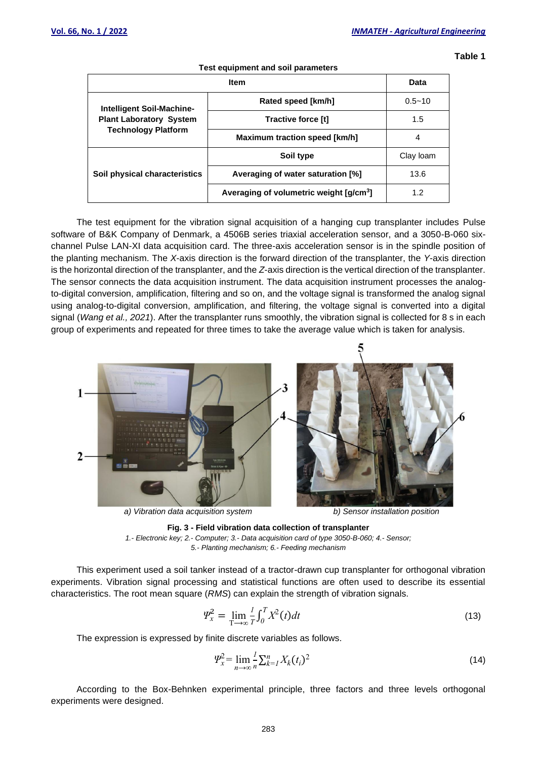**Table 1**

| Test equipment and soil parameters                                                        |                                                     |            |  |  |
|-------------------------------------------------------------------------------------------|-----------------------------------------------------|------------|--|--|
|                                                                                           | Data                                                |            |  |  |
| Intelligent Soil-Machine-<br><b>Plant Laboratory System</b><br><b>Technology Platform</b> | Rated speed [km/h]                                  | $0.5 - 10$ |  |  |
|                                                                                           | Tractive force [t]                                  | 1.5        |  |  |
|                                                                                           | Maximum traction speed [km/h]                       | 4          |  |  |
|                                                                                           | Soil type                                           | Clay loam  |  |  |
| Soil physical characteristics                                                             | Averaging of water saturation [%]                   | 13.6       |  |  |
|                                                                                           | Averaging of volumetric weight [g/cm <sup>3</sup> ] | 1.2        |  |  |

The test equipment for the vibration signal acquisition of a hanging cup transplanter includes Pulse software of B&K Company of Denmark, a 4506B series triaxial acceleration sensor, and a 3050-B-060 sixchannel Pulse LAN-XI data acquisition card. The three-axis acceleration sensor is in the spindle position of the planting mechanism. The *X*-axis direction is the forward direction of the transplanter, the *Y*-axis direction is the horizontal direction of the transplanter, and the *Z*-axis direction is the vertical direction of the transplanter. The sensor connects the data acquisition instrument. The data acquisition instrument processes the analogto-digital conversion, amplification, filtering and so on, and the voltage signal is transformed the analog signal using analog-to-digital conversion, amplification, and filtering, the voltage signal is converted into a digital signal (*Wang et al., 2021*). After the transplanter runs smoothly, the vibration signal is collected for 8 s in each group of experiments and repeated for three times to take the average value which is taken for analysis.







This experiment used a soil tanker instead of a tractor-drawn cup transplanter for orthogonal vibration experiments. Vibration signal processing and statistical functions are often used to describe its essential characteristics. The root mean square (*RMS*) can explain the strength of vibration signals.

$$
\Psi_x^2 = \lim_{T \to \infty} \frac{1}{T} \int_0^T X^2(t) dt
$$
\n(13)

The expression is expressed by finite discrete variables as follows.

$$
\Psi_x^2 = \lim_{n \to \infty} \frac{1}{n} \sum_{k=1}^n X_k(t_i)^2
$$
\n(14)

According to the Box-Behnken experimental principle, three factors and three levels orthogonal experiments were designed.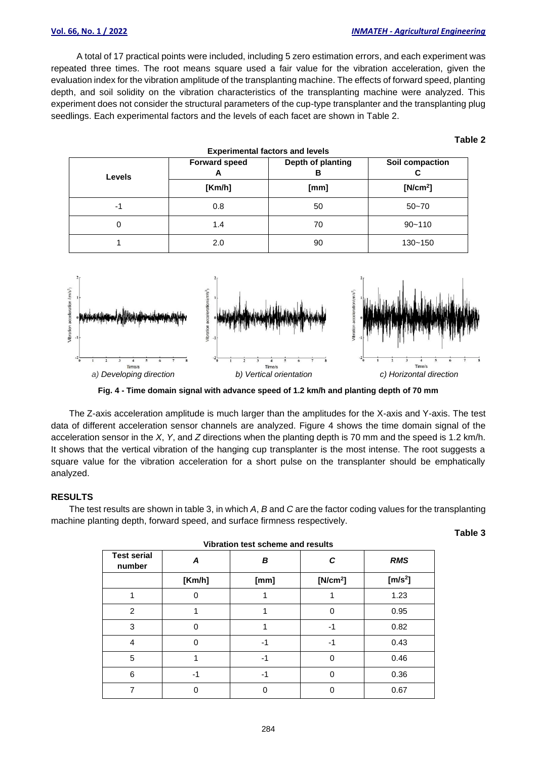#### **Vol. 66, No. 1 / 2022** *INMATEH - Agricultural Engineering*

**Table 2**

A total of 17 practical points were included, including 5 zero estimation errors, and each experiment was repeated three times. The root means square used a fair value for the vibration acceleration, given the evaluation index for the vibration amplitude of the transplanting machine. The effects of forward speed, planting depth, and soil solidity on the vibration characteristics of the transplanting machine were analyzed. This experiment does not consider the structural parameters of the cup-type transplanter and the transplanting plug seedlings. Each experimental factors and the levels of each facet are shown in Table 2.

| <b>Experimental factors and levels</b> |                           |                        |                      |  |
|----------------------------------------|---------------------------|------------------------|----------------------|--|
| <b>Levels</b>                          | <b>Forward speed</b><br>A | Depth of planting<br>в | Soil compaction<br>С |  |
|                                        | [Km/h]                    | [mm]                   | [N/cm <sup>2</sup> ] |  |
| -1                                     | 0.8                       | 50                     | $50 - 70$            |  |
| 0                                      | 1.4                       | 70                     | $90 - 110$           |  |
|                                        | 2.0                       | 90                     | $130 - 150$          |  |



**Fig. 4 - Time domain signal with advance speed of 1.2 km/h and planting depth of 70 mm**

The Z-axis acceleration amplitude is much larger than the amplitudes for the X-axis and Y-axis. The test data of different acceleration sensor channels are analyzed. Figure 4 shows the time domain signal of the acceleration sensor in the *X*, *Y*, and *Z* directions when the planting depth is 70 mm and the speed is 1.2 km/h. It shows that the vertical vibration of the hanging cup transplanter is the most intense. The root suggests a square value for the vibration acceleration for a short pulse on the transplanter should be emphatically analyzed.

# **RESULTS**

The test results are shown in table 3, in which *A*, *B* and *C* are the factor coding values for the transplanting machine planting depth, forward speed, and surface firmness respectively.

| <b>Test serial</b><br>number | Α        | B    | С                    | <b>RMS</b> |
|------------------------------|----------|------|----------------------|------------|
|                              | [Km/h]   | [mm] | [N/cm <sup>2</sup> ] | [ $m/s2$ ] |
|                              |          |      |                      | 1.23       |
| $\overline{2}$               |          |      | 0                    | 0.95       |
| 3                            | $\Omega$ |      | $-1$                 | 0.82       |
| $\overline{4}$               | 0        | -1   | $-1$                 | 0.43       |
| 5                            |          | $-1$ | 0                    | 0.46       |
| 6                            | $-1$     | $-1$ | 0                    | 0.36       |
| ⇁                            |          | ი    | ი                    | 0.67       |

| Vibration test scheme and results |  |  |
|-----------------------------------|--|--|
|                                   |  |  |

**Table 3**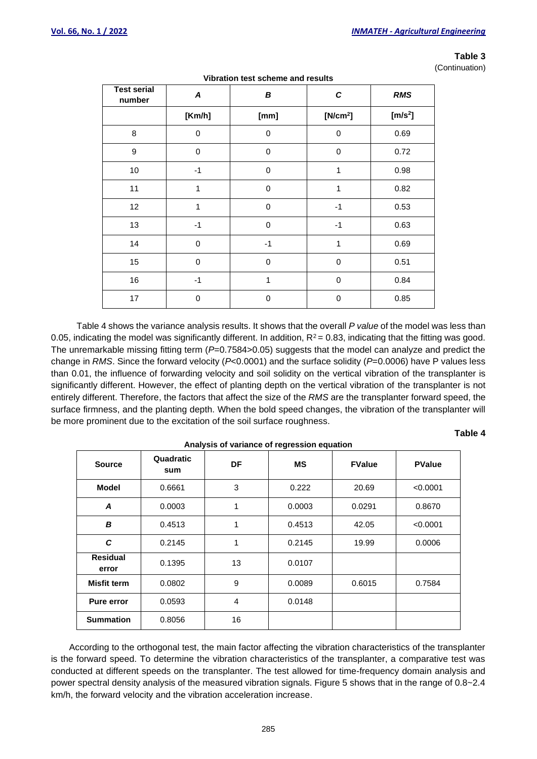## **Table 3**

(Continuation)

| <b>Test serial</b><br>number | A           | В           | C                    | <b>RMS</b> |
|------------------------------|-------------|-------------|----------------------|------------|
|                              | [Km/h]      | [mm]        | [N/cm <sup>2</sup> ] | $[m/s^2]$  |
| 8                            | $\mathbf 0$ | $\mathbf 0$ | $\mathbf 0$          | 0.69       |
| 9                            | $\mathbf 0$ | $\mathbf 0$ | $\mathbf 0$          | 0.72       |
| 10                           | $-1$        | $\mathbf 0$ | 1                    | 0.98       |
| 11                           | 1           | $\mathbf 0$ | 1                    | 0.82       |
| 12                           | 1           | $\mathbf 0$ | $-1$                 | 0.53       |
| 13                           | $-1$        | $\mathbf 0$ | $-1$                 | 0.63       |
| 14                           | $\mathbf 0$ | $-1$        | 1                    | 0.69       |
| 15                           | 0           | 0           | $\pmb{0}$            | 0.51       |
| 16                           | $-1$        | 1           | 0                    | 0.84       |
| 17                           | $\mathbf 0$ | $\mathbf 0$ | 0                    | 0.85       |

**Vibration test scheme and results**

Table 4 shows the variance analysis results. It shows that the overall *P value* of the model was less than 0.05, indicating the model was significantly different. In addition,  $R^2$  = 0.83, indicating that the fitting was good. The unremarkable missing fitting term ( $P=0.7584>0.05$ ) suggests that the model can analyze and predict the change in *RMS*. Since the forward velocity (*P*<0.0001) and the surface solidity (*P*=0.0006) have P values less than 0.01, the influence of forwarding velocity and soil solidity on the vertical vibration of the transplanter is significantly different. However, the effect of planting depth on the vertical vibration of the transplanter is not entirely different. Therefore, the factors that affect the size of the *RMS* are the transplanter forward speed, the surface firmness, and the planting depth. When the bold speed changes, the vibration of the transplanter will be more prominent due to the excitation of the soil surface roughness.

# **Table 4**

| Analysis of variance of regression equation |                  |           |           |               |               |
|---------------------------------------------|------------------|-----------|-----------|---------------|---------------|
| <b>Source</b>                               | Quadratic<br>sum | <b>DF</b> | <b>MS</b> | <b>FValue</b> | <b>PValue</b> |
| <b>Model</b>                                | 0.6661           | 3         | 0.222     | 20.69         | < 0.0001      |
| A                                           | 0.0003           | 1         | 0.0003    | 0.0291        | 0.8670        |
| B                                           | 0.4513           | 1         | 0.4513    | 42.05         | < 0.0001      |
| C                                           | 0.2145           | 1         | 0.2145    | 19.99         | 0.0006        |
| <b>Residual</b><br>error                    | 0.1395           | 13        | 0.0107    |               |               |
| <b>Misfit term</b>                          | 0.0802           | 9         | 0.0089    | 0.6015        | 0.7584        |
| <b>Pure error</b>                           | 0.0593           | 4         | 0.0148    |               |               |
| <b>Summation</b>                            | 0.8056           | 16        |           |               |               |

**Analysis of variance of regression equation**

According to the orthogonal test, the main factor affecting the vibration characteristics of the transplanter is the forward speed. To determine the vibration characteristics of the transplanter, a comparative test was conducted at different speeds on the transplanter. The test allowed for time-frequency domain analysis and power spectral density analysis of the measured vibration signals. Figure 5 shows that in the range of 0.8~2.4 km/h, the forward velocity and the vibration acceleration increase.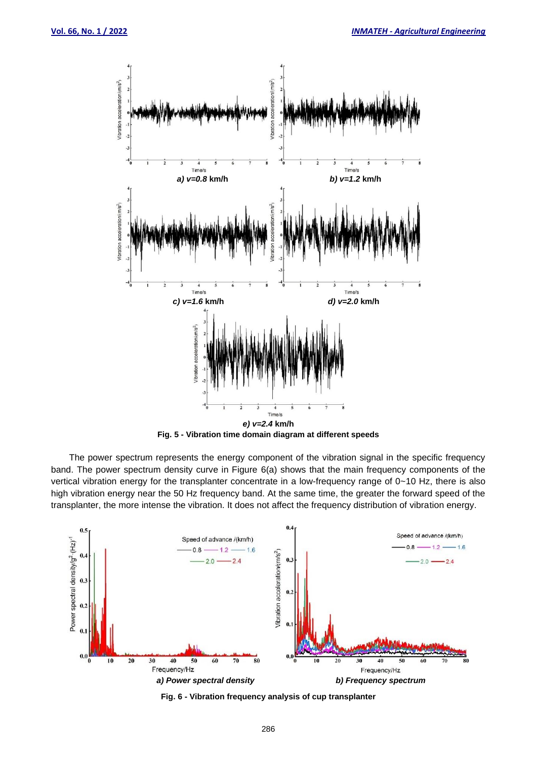

The power spectrum represents the energy component of the vibration signal in the specific frequency band. The power spectrum density curve in Figure 6(a) shows that the main frequency components of the vertical vibration energy for the transplanter concentrate in a low-frequency range of 0~10 Hz, there is also high vibration energy near the 50 Hz frequency band. At the same time, the greater the forward speed of the transplanter, the more intense the vibration. It does not affect the frequency distribution of vibration energy.



**Fig. 6 - Vibration frequency analysis of cup transplanter**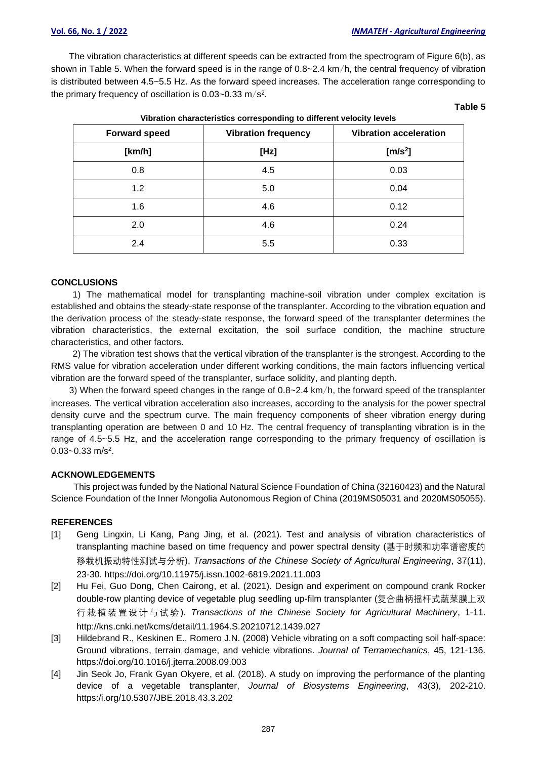The vibration characteristics at different speeds can be extracted from the spectrogram of Figure 6(b), as shown in Table 5. When the forward speed is in the range of 0.8~2.4 km/h, the central frequency of vibration is distributed between 4.5~5.5 Hz. As the forward speed increases. The acceleration range corresponding to the primary frequency of oscillation is 0.03~0.33 m/s<sup>2</sup>.

**Vibration characteristics corresponding to different velocity levels**

**Table 5**

| <u>TIMBROTI VIIDIDUUTISIIVS VÕHTSPOHUMIN TO UMISTUM TUDUIT IUTUS</u> |                            |                               |  |  |
|----------------------------------------------------------------------|----------------------------|-------------------------------|--|--|
| <b>Forward speed</b>                                                 | <b>Vibration frequency</b> | <b>Vibration acceleration</b> |  |  |
| [km/h]                                                               | [Hz]                       | [ $m/s2$ ]                    |  |  |
| 0.8                                                                  | 4.5                        | 0.03                          |  |  |
| 1.2                                                                  | 5.0                        | 0.04                          |  |  |
| 1.6                                                                  | 4.6                        | 0.12                          |  |  |
| 2.0                                                                  | 4.6                        | 0.24                          |  |  |
| 2.4                                                                  | 5.5                        | 0.33                          |  |  |

#### **CONCLUSIONS**

1) The mathematical model for transplanting machine-soil vibration under complex excitation is established and obtains the steady-state response of the transplanter. According to the vibration equation and the derivation process of the steady-state response, the forward speed of the transplanter determines the vibration characteristics, the external excitation, the soil surface condition, the machine structure characteristics, and other factors.

2) The vibration test shows that the vertical vibration of the transplanter is the strongest. According to the RMS value for vibration acceleration under different working conditions, the main factors influencing vertical vibration are the forward speed of the transplanter, surface solidity, and planting depth.

3) When the forward speed changes in the range of 0.8~2.4 km/h, the forward speed of the transplanter increases. The vertical vibration acceleration also increases, according to the analysis for the power spectral density curve and the spectrum curve. The main frequency components of sheer vibration energy during transplanting operation are between 0 and 10 Hz. The central frequency of transplanting vibration is in the range of 4.5~5.5 Hz, and the acceleration range corresponding to the primary frequency of oscillation is 0.03~0.33 m/s<sup>2</sup>.

# **ACKNOWLEDGEMENTS**

This project was funded by the National Natural Science Foundation of China (32160423) and the Natural Science Foundation of the Inner Mongolia Autonomous Region of China (2019MS05031 and 2020MS05055).

#### **REFERENCES**

- [1] Geng Lingxin, Li Kang, Pang Jing, et al. (2021). Test and analysis of vibration characteristics of transplanting machine based on time frequency and power spectral density (基于时频和功率谱密度的 移栽机振动特性测试与分析), *Transactions of the Chinese Society of Agricultural Engineering*, 37(11), 23-30. https://doi.org/10.11975/j.issn.1002-6819.2021.11.003
- [2] Hu Fei, Guo Dong, Chen Cairong, et al. (2021). Design and experiment on compound crank Rocker double-row planting device of vegetable plug seedling up-film transplanter (复合曲柄摇杆式蔬菜膜上双 行栽植装置设计与试验). *Transactions of the Chinese Society for Agricultural Machinery*, 1-11. http://kns.cnki.net/kcms/detail/11.1964.S.20210712.1439.027
- [3] Hildebrand R., Keskinen E., Romero J.N. (2008) Vehicle vibrating on a soft compacting soil half-space: Ground vibrations, terrain damage, and vehicle vibrations. *Journal of Terramechanics*, 45, 121-136. https://doi.org[/10.1016/j.jterra.2008.09.003](https://schlr.cnki.net/Detail/urlLink/SJES_03/SJES13A24A15A00DF42760BE7E81E8EAEC44?linkUrl=https%3A%2F%2Flinkinghub.elsevier.com%2Fretrieve%2Fpii%2FS0022489808000554&product=null)
- [4] Jin Seok Jo, Frank Gyan Okyere, et al. (2018). A study on improving the performance of the planting device of a vegetable transplanter, *Journal of Biosystems Engineering*, 43(3), 202-210. [https:/i.org/10.5307/JBE.2018.43.3.202](https://doi.org/10.5307/JBE.2018.43.3.202)